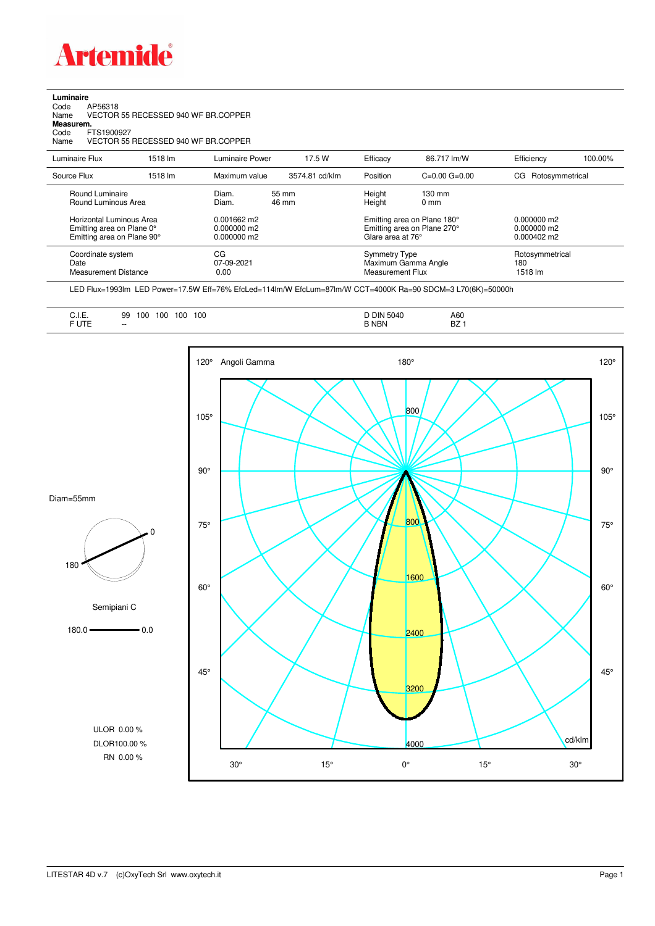

**Luminaire**<br>Code<br>Name Code AP56318 Name VECTOR 55 RECESSED 940 WF BR.COPPER

**Measurem.**

Code FTS1900927

Name VECTOR 55 RECESSED 940 WF BR.COPPER

| Luminaire Flux                                                                      | 1518 lm | Luminaire Power                                 | 17.5 W         | Efficacy                          | 86.717 lm/W                                                                     | Efficiency                        | 100.00% |
|-------------------------------------------------------------------------------------|---------|-------------------------------------------------|----------------|-----------------------------------|---------------------------------------------------------------------------------|-----------------------------------|---------|
| Source Flux                                                                         | 1518 lm | Maximum value                                   | 3574.81 cd/klm | Position                          | $C=0.00$ $G=0.00$                                                               | Rotosymmetrical<br>CG.            |         |
| Round Luminaire<br>Round Luminous Area                                              |         | Diam.<br>Diam.                                  | 55 mm<br>46 mm | Height<br>Height                  | $130 \text{ mm}$<br>$0 \text{ mm}$                                              |                                   |         |
| Horizontal Luminous Area<br>Emitting area on Plane 0°<br>Emitting area on Plane 90° |         | $0.001662$ m2<br>$0.000000$ m2<br>$0.000000$ m2 |                |                                   | Emitting area on Plane 180°<br>Emitting area on Plane 270°<br>Glare area at 76° |                                   |         |
| Coordinate system<br>Date<br><b>Measurement Distance</b>                            |         | CG<br>07-09-2021<br>0.00                        |                | Symmetry Type<br>Measurement Flux | Maximum Gamma Angle                                                             | Rotosymmetrical<br>180<br>1518 lm |         |

LED Flux=1993lm LED Power=17.5W Eff=76% EfcLed=114lm/W EfcLum=87lm/W CCT=4000K Ra=90 SDCM=3 L70(6K)=50000h